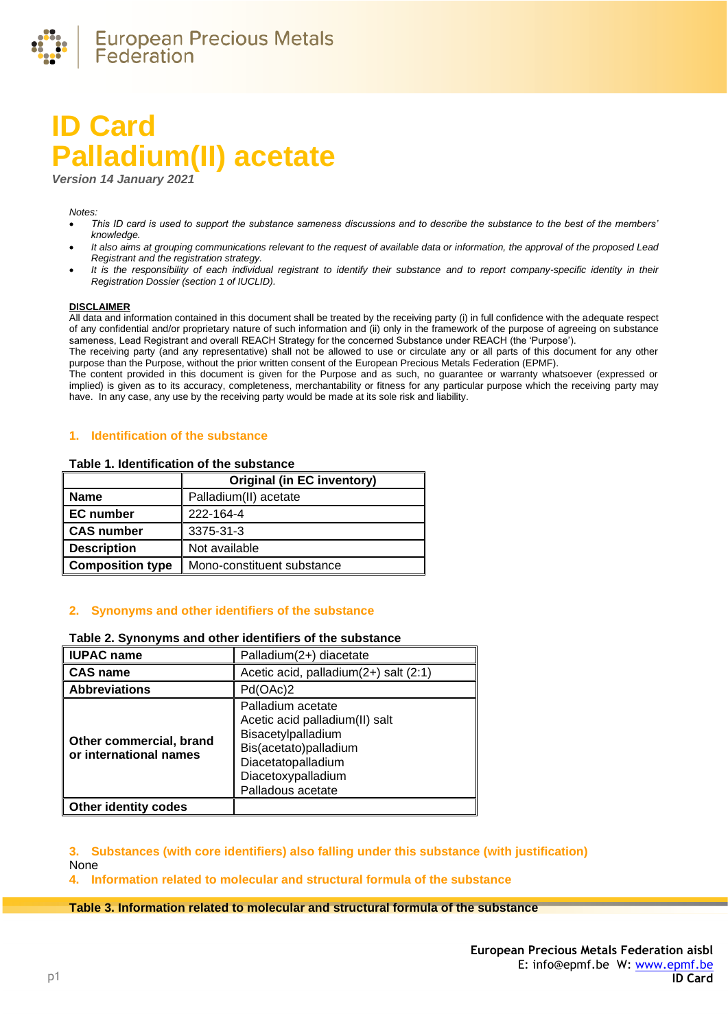

# **ID Card Palladium(II) acetate**

*Version 14 January 2021*

#### *Notes:*

- *This ID card is used to support the substance sameness discussions and to describe the substance to the best of the members' knowledge.*
- *It also aims at grouping communications relevant to the request of available data or information, the approval of the proposed Lead Registrant and the registration strategy.*
- *It is the responsibility of each individual registrant to identify their substance and to report company-specific identity in their Registration Dossier (section 1 of IUCLID).*

#### **DISCLAIMER**

All data and information contained in this document shall be treated by the receiving party (i) in full confidence with the adequate respect of any confidential and/or proprietary nature of such information and (ii) only in the framework of the purpose of agreeing on substance sameness, Lead Registrant and overall REACH Strategy for the concerned Substance under REACH (the 'Purpose').

The receiving party (and any representative) shall not be allowed to use or circulate any or all parts of this document for any other purpose than the Purpose, without the prior written consent of the European Precious Metals Federation (EPMF).

The content provided in this document is given for the Purpose and as such, no guarantee or warranty whatsoever (expressed or implied) is given as to its accuracy, completeness, merchantability or fitness for any particular purpose which the receiving party may have. In any case, any use by the receiving party would be made at its sole risk and liability.

## **1. Identification of the substance**

#### **Table 1. Identification of the substance**

|                         | <b>Original (in EC inventory)</b> |
|-------------------------|-----------------------------------|
| Name                    | Palladium(II) acetate             |
| <b>EC</b> number        | 222-164-4                         |
| CAS number              | 3375-31-3                         |
| <b>Description</b>      | Not available                     |
| <b>Composition type</b> | Mono-constituent substance        |

## **2. Synonyms and other identifiers of the substance**

### **Table 2. Synonyms and other identifiers of the substance**

| <b>IUPAC name</b>                                 | Palladium(2+) diacetate                                                                                                                                             |
|---------------------------------------------------|---------------------------------------------------------------------------------------------------------------------------------------------------------------------|
| <b>CAS name</b>                                   | Acetic acid, palladium(2+) salt (2:1)                                                                                                                               |
| <b>Abbreviations</b>                              | Pd(OAc)2                                                                                                                                                            |
| Other commercial, brand<br>or international names | Palladium acetate<br>Acetic acid palladium(II) salt<br>Bisacetylpalladium<br>Bis(acetato)palladium<br>Diacetatopalladium<br>Diacetoxypalladium<br>Palladous acetate |
| <b>Other identity codes</b>                       |                                                                                                                                                                     |

**3. Substances (with core identifiers) also falling under this substance (with justification)** None

**4. Information related to molecular and structural formula of the substance**

### **Table 3. Information related to molecular and structural formula of the substance**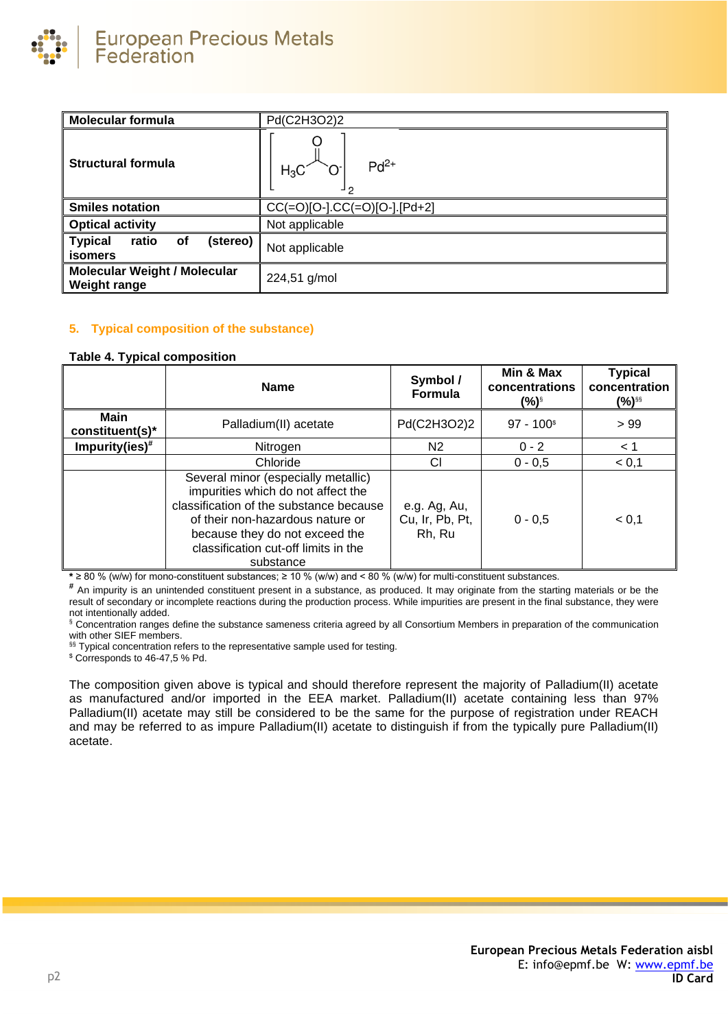

| <b>Molecular formula</b>                                   | Pd(C2H3O2)2                                |
|------------------------------------------------------------|--------------------------------------------|
| <b>Structural formula</b>                                  | $Pd^{2+}$<br>$H_3C$<br>┙ዖ                  |
| <b>Smiles notation</b>                                     | $CC(=O)[O-] \cdot CC(=O)[O-] \cdot [Pd+2]$ |
| <b>Optical activity</b>                                    | Not applicable                             |
| (stereo)<br><b>Typical</b><br>ratio<br>οf<br>isomers       | Not applicable                             |
| <b>Molecular Weight / Molecular</b><br><b>Weight range</b> | 224,51 g/mol                               |

## **5. Typical composition of the substance)**

#### <span id="page-1-0"></span>**Table 4. Typical composition**

|                                | <b>Name</b>                                                                                                                                                                                                                                     | Symbol /<br><b>Formula</b>                | Min & Max<br>concentrations<br>(%)§ | <b>Typical</b><br>concentration<br>(%)§§ |
|--------------------------------|-------------------------------------------------------------------------------------------------------------------------------------------------------------------------------------------------------------------------------------------------|-------------------------------------------|-------------------------------------|------------------------------------------|
| <b>Main</b><br>constituent(s)* | Palladium(II) acetate                                                                                                                                                                                                                           | Pd(C2H3O2)2                               | $97 - 100$ <sup>\$</sup>            | >99                                      |
| Impurity(ies) $#$              | Nitrogen                                                                                                                                                                                                                                        | N2                                        | $0 - 2$                             | < 1                                      |
|                                | Chloride                                                                                                                                                                                                                                        | СI                                        | $0 - 0.5$                           | < 0.1                                    |
|                                | Several minor (especially metallic)<br>impurities which do not affect the<br>classification of the substance because<br>of their non-hazardous nature or<br>because they do not exceed the<br>classification cut-off limits in the<br>substance | e.g. Ag, Au,<br>Cu, Ir, Pb, Pt,<br>Rh, Ru | $0 - 0.5$                           | < 0,1                                    |

**\*** ≥ 80 % (w/w) for mono-constituent substances; ≥ 10 % (w/w) and < 80 % (w/w) for multi-constituent substances.

**#** An impurity is an unintended constituent present in a substance, as produced. It may originate from the starting materials or be the result of secondary or incomplete reactions during the production process. While impurities are present in the final substance, they were not intentionally added.

§ Concentration ranges define the substance sameness criteria agreed by all Consortium Members in preparation of the communication with other SIEF members.

§§ Typical concentration refers to the representative sample used for testing.

\$ Corresponds to 46-47,5 % Pd.

The composition given above is typical and should therefore represent the majority of Palladium(II) acetate as manufactured and/or imported in the EEA market. Palladium(II) acetate containing less than 97% Palladium(II) acetate may still be considered to be the same for the purpose of registration under REACH and may be referred to as impure Palladium(II) acetate to distinguish if from the typically pure Palladium(II) acetate.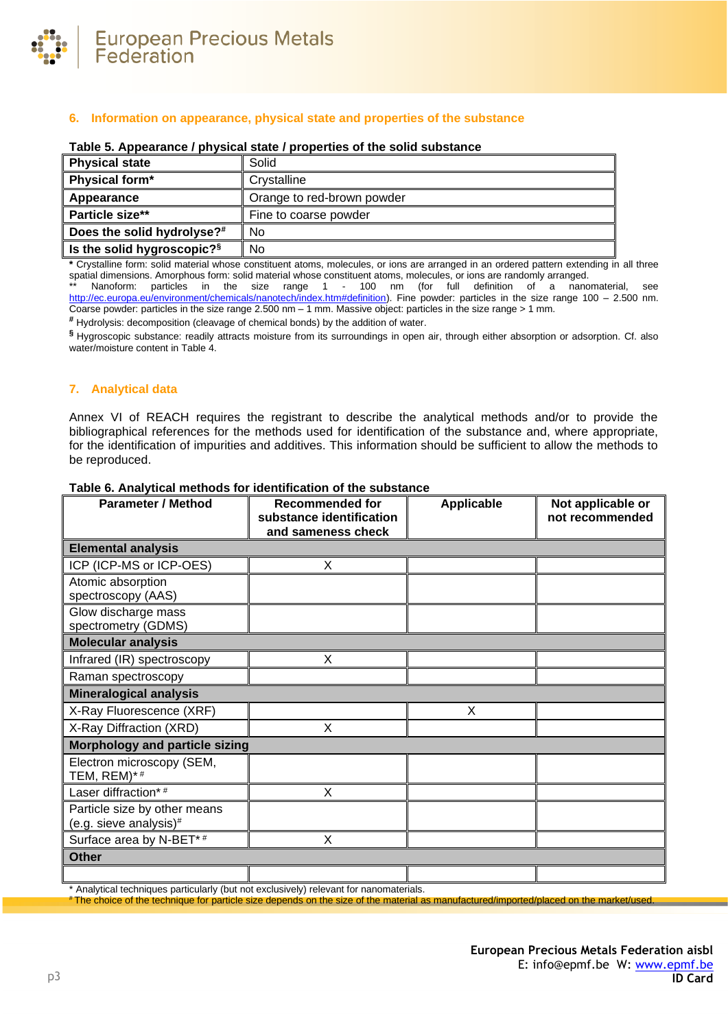

## **6. Information on appearance, physical state and properties of the substance**

| <b>Physical state</b>                  | Solid                      |
|----------------------------------------|----------------------------|
| Physical form*                         | Crystalline                |
| Appearance                             | Orange to red-brown powder |
| Particle size**                        | Fine to coarse powder      |
| Does the solid hydrolyse?#             | No                         |
| Is the solid hygroscopic? <sup>§</sup> | No                         |

#### **Table 5. Appearance / physical state / properties of the solid substance**

**\*** Crystalline form: solid material whose constituent atoms, molecules, or ions are arranged in an ordered pattern extending in all three spatial dimensions. Amorphous form: solid material whose constituent atoms, molecules, or ions are randomly arranged.

\*\* Nanoform: particles in the size range 1 - 100 nm (for full definition of a nanomaterial, see [http://ec.europa.eu/environment/chemicals/nanotech/index.htm#definition\)](http://ec.europa.eu/environment/chemicals/nanotech/index.htm#definition). Fine powder: particles in the size range 100 – 2.500 nm. Coarse powder: particles in the size range 2.500 nm – 1 mm. Massive object: particles in the size range > 1 mm.

**#** Hydrolysis: decomposition (cleavage of chemical bonds) by the addition of water.

**§** Hygroscopic substance: readily attracts moisture from its surroundings in open air, through either absorption or adsorption. Cf. also water/moisture content i[n Table 4.](#page-1-0)

## **7. Analytical data**

Annex VI of REACH requires the registrant to describe the analytical methods and/or to provide the bibliographical references for the methods used for identification of the substance and, where appropriate, for the identification of impurities and additives. This information should be sufficient to allow the methods to be reproduced.

| <b>Parameter / Method</b>                              | <b>Recommended for</b><br>substance identification | <b>Applicable</b> | Not applicable or |
|--------------------------------------------------------|----------------------------------------------------|-------------------|-------------------|
|                                                        | and sameness check                                 |                   | not recommended   |
| <b>Elemental analysis</b>                              |                                                    |                   |                   |
| ICP (ICP-MS or ICP-OES)                                | X                                                  |                   |                   |
| Atomic absorption<br>spectroscopy (AAS)                |                                                    |                   |                   |
| Glow discharge mass<br>spectrometry (GDMS)             |                                                    |                   |                   |
| <b>Molecular analysis</b>                              |                                                    |                   |                   |
| Infrared (IR) spectroscopy                             | X                                                  |                   |                   |
| Raman spectroscopy                                     |                                                    |                   |                   |
| <b>Mineralogical analysis</b>                          |                                                    |                   |                   |
| X-Ray Fluorescence (XRF)                               |                                                    | X.                |                   |
| X-Ray Diffraction (XRD)                                | X                                                  |                   |                   |
| <b>Morphology and particle sizing</b>                  |                                                    |                   |                   |
| Electron microscopy (SEM,<br>TEM, REM)*#               |                                                    |                   |                   |
| Laser diffraction*#                                    | X                                                  |                   |                   |
| Particle size by other means<br>(e.g. sieve analysis)# |                                                    |                   |                   |
| Surface area by N-BET*#                                | X                                                  |                   |                   |
| <b>Other</b>                                           |                                                    |                   |                   |
|                                                        |                                                    |                   |                   |

### **Table 6. Analytical methods for identification of the substance**

\* Analytical techniques particularly (but not exclusively) relevant for nanomaterials.

The choice of the technique for particle size depends on the size of the material as manufactured/imported/placed on the market/used.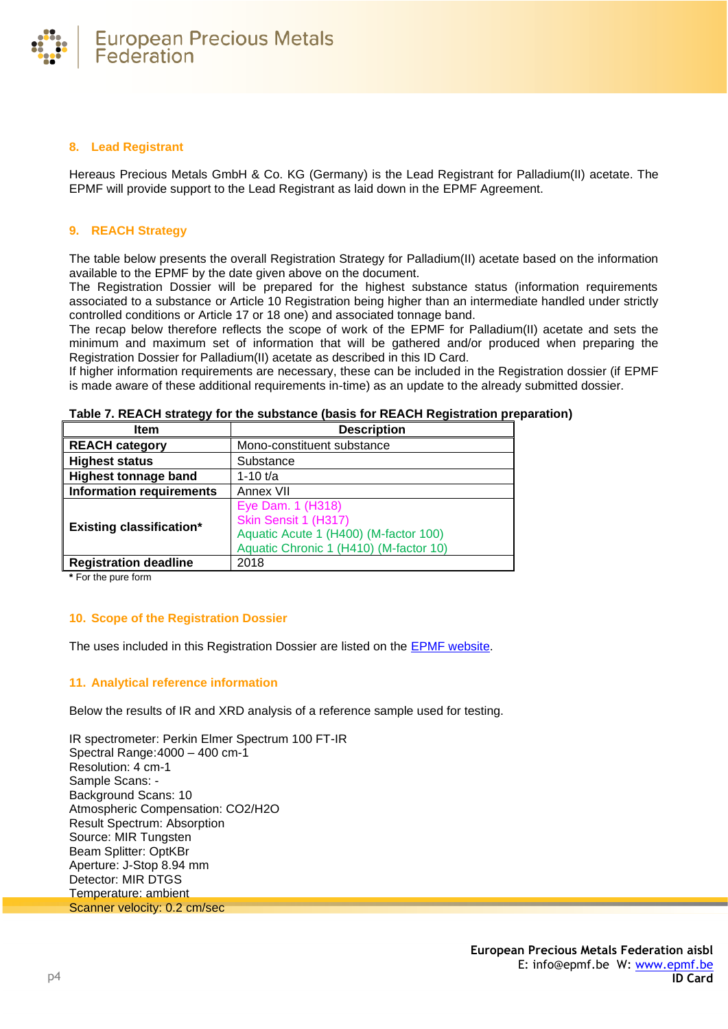

## **8. Lead Registrant**

Hereaus Precious Metals GmbH & Co. KG (Germany) is the Lead Registrant for Palladium(II) acetate. The EPMF will provide support to the Lead Registrant as laid down in the EPMF Agreement.

# **9. REACH Strategy**

The table below presents the overall Registration Strategy for Palladium(II) acetate based on the information available to the EPMF by the date given above on the document.

The Registration Dossier will be prepared for the highest substance status (information requirements associated to a substance or Article 10 Registration being higher than an intermediate handled under strictly controlled conditions or Article 17 or 18 one) and associated tonnage band.

The recap below therefore reflects the scope of work of the EPMF for Palladium(II) acetate and sets the minimum and maximum set of information that will be gathered and/or produced when preparing the Registration Dossier for Palladium(II) acetate as described in this ID Card.

If higher information requirements are necessary, these can be included in the Registration dossier (if EPMF is made aware of these additional requirements in-time) as an update to the already submitted dossier.

| Item                            | <b>Description</b>                                                                                                           |
|---------------------------------|------------------------------------------------------------------------------------------------------------------------------|
| REACH category                  | Mono-constituent substance                                                                                                   |
| Highest status                  | Substance                                                                                                                    |
| Highest tonnage band            | 1-10 $t/a$                                                                                                                   |
| Information requirements        | Annex VII                                                                                                                    |
| <b>Existing classification*</b> | Eye Dam. 1 (H318)<br>Skin Sensit 1 (H317)<br>Aquatic Acute 1 (H400) (M-factor 100)<br>Aquatic Chronic 1 (H410) (M-factor 10) |
| Registration deadline           | 2018                                                                                                                         |

**Table 7. REACH strategy for the substance (basis for REACH Registration preparation)**

**\*** For the pure form

# **10. Scope of the Registration Dossier**

The uses included in this Registration Dossier are listed on the **EPMF** website.

## **11. Analytical reference information**

Below the results of IR and XRD analysis of a reference sample used for testing.

IR spectrometer: Perkin Elmer Spectrum 100 FT-IR Spectral Range:4000 – 400 cm-1 Resolution: 4 cm-1 Sample Scans: - Background Scans: 10 Atmospheric Compensation: CO2/H2O Result Spectrum: Absorption Source: MIR Tungsten Beam Splitter: OptKBr Aperture: J-Stop 8.94 mm Detector: MIR DTGS Temperature: ambient Scanner velocity: 0.2 cm/sec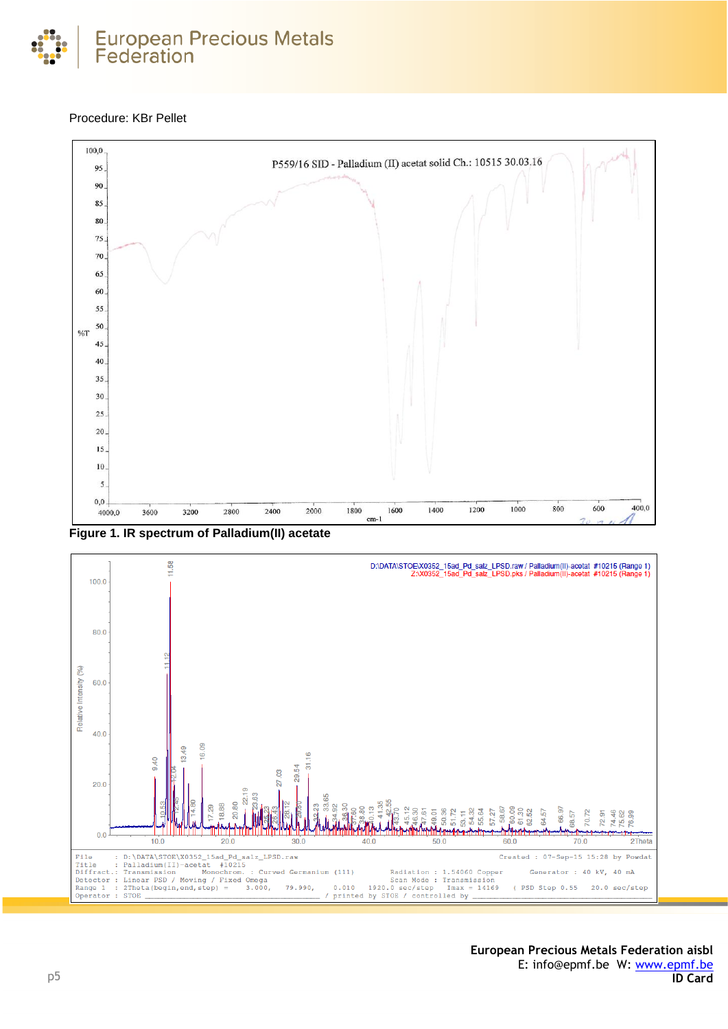

# Procedure: KBr Pellet